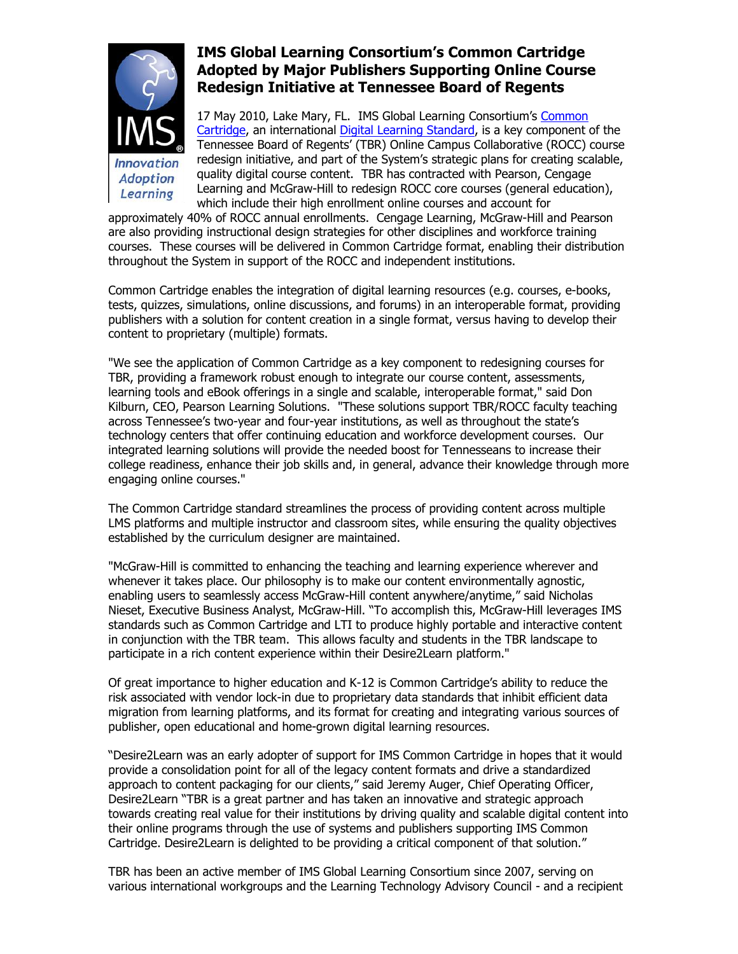

## **IMS Global Learning Consortium's Common Cartridge Adopted by Major Publishers Supporting Online Course Redesign Initiative at Tennessee Board of Regents**

17 May 2010, Lake Mary, FL. IMS Global Learning Consortium's [Common](http://www.imsglobal.org/interoperabilitygroups.html#CC)  [Cartridge,](http://www.imsglobal.org/interoperabilitygroups.html#CC) an international [Digital Learning Standard,](http://www.imsglobal.org/digitallearningservices.html) is a key component of the Tennessee Board of Regents' (TBR) Online Campus Collaborative (ROCC) course redesign initiative, and part of the System's strategic plans for creating scalable, quality digital course content. TBR has contracted with Pearson, Cengage Learning and McGraw-Hill to redesign ROCC core courses (general education), which include their high enrollment online courses and account for

approximately 40% of ROCC annual enrollments. Cengage Learning, McGraw-Hill and Pearson are also providing instructional design strategies for other disciplines and workforce training courses. These courses will be delivered in Common Cartridge format, enabling their distribution throughout the System in support of the ROCC and independent institutions.

Common Cartridge enables the integration of digital learning resources (e.g. courses, e-books, tests, quizzes, simulations, online discussions, and forums) in an interoperable format, providing publishers with a solution for content creation in a single format, versus having to develop their content to proprietary (multiple) formats.

"We see the application of Common Cartridge as a key component to redesigning courses for TBR, providing a framework robust enough to integrate our course content, assessments, learning tools and eBook offerings in a single and scalable, interoperable format," said Don Kilburn, CEO, Pearson Learning Solutions. "These solutions support TBR/ROCC faculty teaching across Tennessee's two-year and four-year institutions, as well as throughout the state's technology centers that offer continuing education and workforce development courses. Our integrated learning solutions will provide the needed boost for Tennesseans to increase their college readiness, enhance their job skills and, in general, advance their knowledge through more engaging online courses."

The Common Cartridge standard streamlines the process of providing content across multiple LMS platforms and multiple instructor and classroom sites, while ensuring the quality objectives established by the curriculum designer are maintained.

"McGraw-Hill is committed to enhancing the teaching and learning experience wherever and whenever it takes place. Our philosophy is to make our content environmentally agnostic, enabling users to seamlessly access McGraw-Hill content anywhere/anytime," said Nicholas Nieset, Executive Business Analyst, McGraw-Hill. "To accomplish this, McGraw-Hill leverages IMS standards such as Common Cartridge and LTI to produce highly portable and interactive content in conjunction with the TBR team. This allows faculty and students in the TBR landscape to participate in a rich content experience within their Desire2Learn platform."

Of great importance to higher education and K-12 is Common Cartridge's ability to reduce the risk associated with vendor lock-in due to proprietary data standards that inhibit efficient data migration from learning platforms, and its format for creating and integrating various sources of publisher, open educational and home-grown digital learning resources.

"Desire2Learn was an early adopter of support for IMS Common Cartridge in hopes that it would provide a consolidation point for all of the legacy content formats and drive a standardized approach to content packaging for our clients," said Jeremy Auger, Chief Operating Officer, Desire2Learn "TBR is a great partner and has taken an innovative and strategic approach towards creating real value for their institutions by driving quality and scalable digital content into their online programs through the use of systems and publishers supporting IMS Common Cartridge. Desire2Learn is delighted to be providing a critical component of that solution."

TBR has been an active member of IMS Global Learning Consortium since 2007, serving on various international workgroups and the Learning Technology Advisory Council - and a recipient